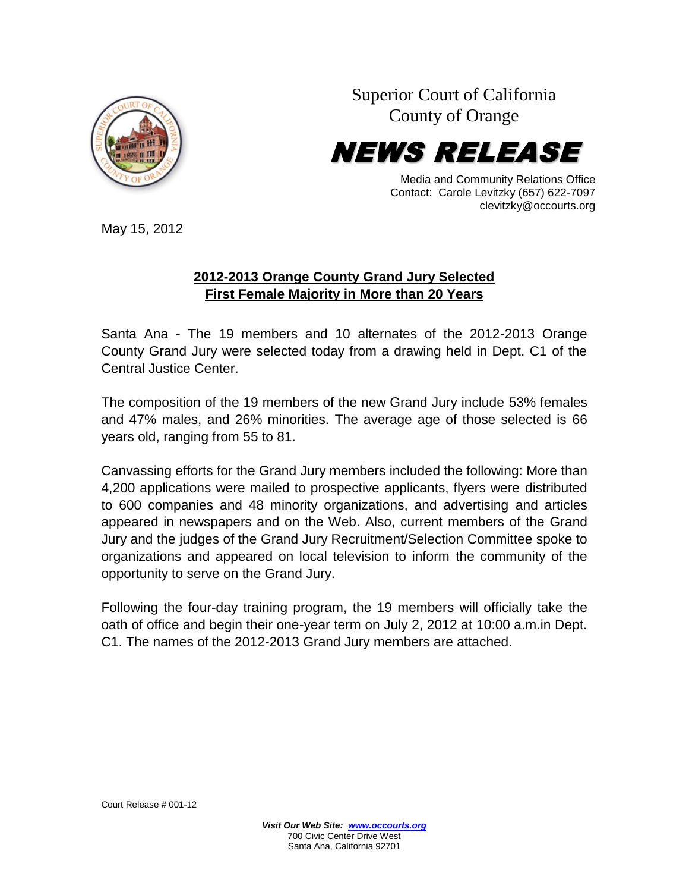

Superior Court of California County of Orange



Media and Community Relations Office Contact: Carole Levitzky (657) 622-7097 clevitzky@occourts.org

May 15, 2012

## **2012-2013 Orange County Grand Jury Selected First Female Majority in More than 20 Years**

Santa Ana - The 19 members and 10 alternates of the 2012-2013 Orange County Grand Jury were selected today from a drawing held in Dept. C1 of the Central Justice Center.

The composition of the 19 members of the new Grand Jury include 53% females and 47% males, and 26% minorities. The average age of those selected is 66 years old, ranging from 55 to 81.

Canvassing efforts for the Grand Jury members included the following: More than 4,200 applications were mailed to prospective applicants, flyers were distributed to 600 companies and 48 minority organizations, and advertising and articles appeared in newspapers and on the Web. Also, current members of the Grand Jury and the judges of the Grand Jury Recruitment/Selection Committee spoke to organizations and appeared on local television to inform the community of the opportunity to serve on the Grand Jury.

Following the four-day training program, the 19 members will officially take the oath of office and begin their one-year term on July 2, 2012 at 10:00 a.m.in Dept. C1. The names of the 2012-2013 Grand Jury members are attached.